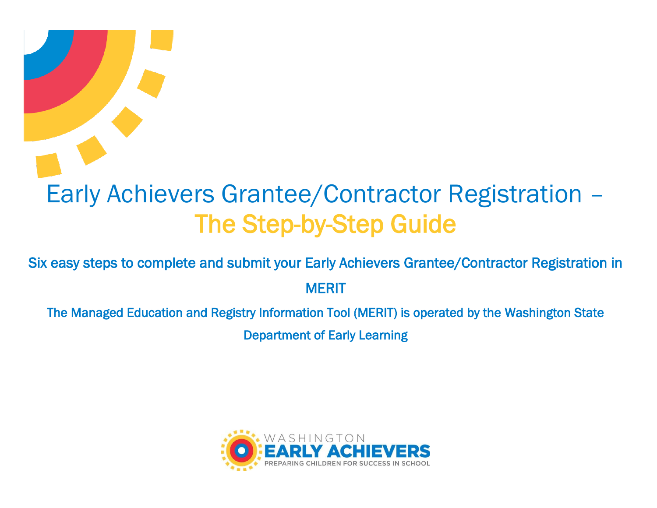# Early Achievers Grantee/Contractor Registration – The Step-by-Step Guide

Six easy steps to complete and submit your Early Achievers Grantee/Contractor Registration in **MERIT** 

The Managed Education and Registry Information Tool (MERIT) is operated by the Washington State Department of Early Learning

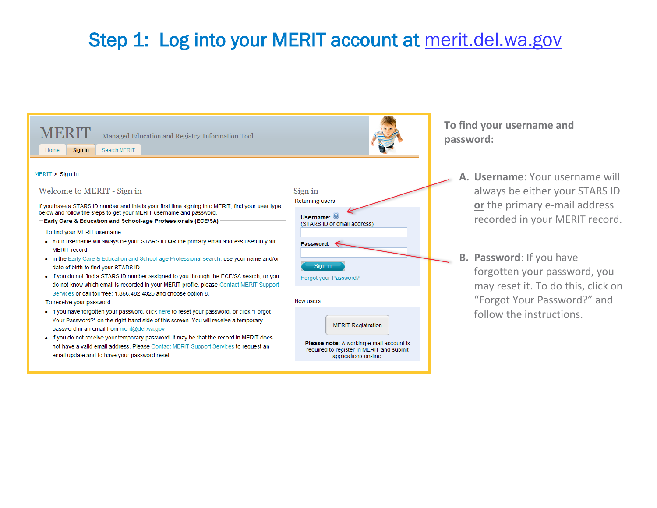# Step 1: Log into your MERIT account at merit.del.wa.gov

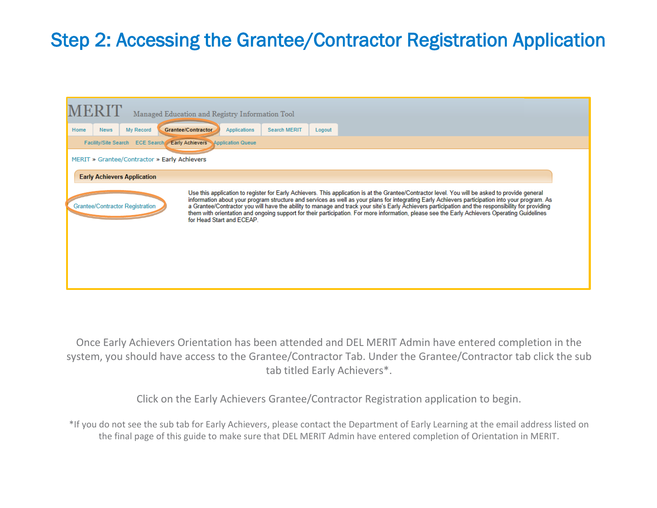## Step 2: Accessing the Grantee/Contractor Registration Application

| Managed Education and Registry Information Tool                                                                                                                                                                                                                                                                                                                                                                                                                                                                                                                                                             |  |  |  |  |  |  |  |
|-------------------------------------------------------------------------------------------------------------------------------------------------------------------------------------------------------------------------------------------------------------------------------------------------------------------------------------------------------------------------------------------------------------------------------------------------------------------------------------------------------------------------------------------------------------------------------------------------------------|--|--|--|--|--|--|--|
| My Record<br>Grantee/Contractor<br><b>Search MERIT</b><br>Home<br><b>News</b><br><b>Applications</b><br>Logout                                                                                                                                                                                                                                                                                                                                                                                                                                                                                              |  |  |  |  |  |  |  |
| Facility/Site Search ECE Search Early Achievers Application Queue                                                                                                                                                                                                                                                                                                                                                                                                                                                                                                                                           |  |  |  |  |  |  |  |
| MERIT » Grantee/Contractor » Early Achievers                                                                                                                                                                                                                                                                                                                                                                                                                                                                                                                                                                |  |  |  |  |  |  |  |
| <b>Early Achievers Application</b>                                                                                                                                                                                                                                                                                                                                                                                                                                                                                                                                                                          |  |  |  |  |  |  |  |
| Use this application to register for Early Achievers. This application is at the Grantee/Contractor level. You will be asked to provide general<br>information about your program structure and services as well as your plans for integrating Early Achievers participation into your program. As<br>a Grantee/Contractor you will have the ability to manage and track your site's<br><b>Grantee/Contractor Registration</b><br>them with orientation and ongoing support for their participation. For more information, please see the Early Achievers Operating Guidelines<br>for Head Start and ECEAP. |  |  |  |  |  |  |  |

Once Early Achievers Orientation has been attended and DEL MERIT Admin have entered completion in the system, you should have access to the Grantee/Contractor Tab. Under the Grantee/Contractor tab click the sub tab titled Early Achievers\*.

Click on the Early Achievers Grantee/Contractor Registration application to begin.

do not see the sub tab for Early Achievers, please contact the Department of Early Learning at the email address lis<br>the final page of this guide to make sure that DEL MERIT Admin have entered completion of Orientation in \*If you do not see the sub tab for Early Achievers, please contact the Department of Early Learning at the email address listed on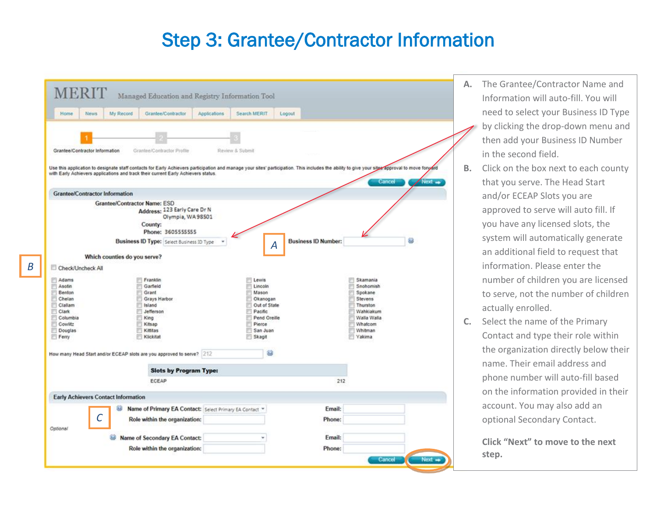#### Step 3: Grantee/Contractor Information

| Home<br>News<br>My Record                                                                                                                                                                      | Grantee/Contractor                                             | Applications | Search MERIT    | Logout                     |             |        |
|------------------------------------------------------------------------------------------------------------------------------------------------------------------------------------------------|----------------------------------------------------------------|--------------|-----------------|----------------------------|-------------|--------|
|                                                                                                                                                                                                |                                                                |              |                 |                            |             |        |
|                                                                                                                                                                                                |                                                                |              |                 |                            |             |        |
| Grantee/Contractor Information                                                                                                                                                                 | Grantee/Contractor Profile                                     |              | Review & Submit |                            |             |        |
|                                                                                                                                                                                                |                                                                |              |                 |                            |             |        |
| Use this application to designate staff contacts for Early Achievers participation and manage your sites' participation. This includes the ability to give your sites approval to move forward |                                                                |              |                 |                            |             |        |
| with Early Achievers applications and track their current Early Achievers status.                                                                                                              |                                                                |              |                 |                            |             | Next = |
|                                                                                                                                                                                                |                                                                |              |                 |                            | Cancel      |        |
| <b>Grantee/Contractor Information</b>                                                                                                                                                          |                                                                |              |                 |                            |             |        |
| Grantee/Contractor Name: ESD                                                                                                                                                                   | Address: 123 Early Care Dr N                                   |              |                 |                            |             |        |
|                                                                                                                                                                                                | Olympia, WA98501                                               |              |                 |                            |             |        |
|                                                                                                                                                                                                | County:                                                        |              |                 |                            |             |        |
|                                                                                                                                                                                                | Phone: 3605555555                                              |              |                 |                            |             |        |
|                                                                                                                                                                                                | Business ID Type: Select Business ID Type                      |              | A               | <b>Business ID Number:</b> |             | 63     |
|                                                                                                                                                                                                |                                                                |              |                 |                            |             |        |
|                                                                                                                                                                                                |                                                                |              |                 |                            |             |        |
| Which counties do you serve?                                                                                                                                                                   |                                                                |              |                 |                            |             |        |
| Check/Uncheck All                                                                                                                                                                              |                                                                |              |                 |                            |             |        |
| Adams                                                                                                                                                                                          | Franklin                                                       |              | Lewis           |                            | Skamania    |        |
| ε<br>Asotin<br>Ρ                                                                                                                                                                               | Garfield                                                       |              | Lincoln         |                            | Snohomish   |        |
| Benton                                                                                                                                                                                         | Grant                                                          |              | Mason           |                            | Spokane     |        |
| μ<br>Chelan                                                                                                                                                                                    | Grays Harbor                                                   |              | Okanogan        |                            | Stevens     |        |
| е<br>Clallam                                                                                                                                                                                   | Island                                                         |              | Out of State    |                            | Thurston    |        |
| E<br>Clark                                                                                                                                                                                     | Jefferson                                                      |              | Pacific         |                            | Wahkiakum   |        |
| F<br>Columbia                                                                                                                                                                                  | King                                                           |              | Pend Oreille    |                            | Walla Walla |        |
| Cowlitz<br>Е                                                                                                                                                                                   | Kitsap                                                         |              | Pierce          |                            | Whatcom     |        |
| E<br>Douglas                                                                                                                                                                                   | Kittitas                                                       |              | San Juan        |                            | Whitman     |        |
| Ferry                                                                                                                                                                                          | Klickitat                                                      |              | Skagit          |                            | Yakima      |        |
|                                                                                                                                                                                                |                                                                |              |                 |                            |             |        |
| How many Head Start and/or ECEAP slots are you approved to serve? 212                                                                                                                          |                                                                |              | 33              |                            |             |        |
|                                                                                                                                                                                                | <b>Slots by Program Type:</b>                                  |              |                 |                            |             |        |
|                                                                                                                                                                                                | ECEAP                                                          |              |                 |                            | 212         |        |
|                                                                                                                                                                                                |                                                                |              |                 |                            |             |        |
| <b>Early Achievers Contact Information</b>                                                                                                                                                     |                                                                |              |                 |                            |             |        |
| as.                                                                                                                                                                                            | Name of Primary EA Contact: Select Primary EA Contact *        |              |                 | Email:                     |             |        |
|                                                                                                                                                                                                |                                                                |              |                 | Phone:                     |             |        |
| $\mathcal C$                                                                                                                                                                                   | Role within the organization:                                  |              |                 |                            |             |        |
| Optional                                                                                                                                                                                       |                                                                |              |                 | Email:                     |             |        |
|                                                                                                                                                                                                | Name of Secondary EA Contact:<br>Role within the organization: |              |                 | Phone:                     |             |        |

- **A.** The Grantee/Contractor Name and Information will auto-fill. You will need to select your Business ID Type by clicking the drop-down menu and then add your Business ID Number in the second field.
- **B.** Click on the box next to each county that you serve. The Head Start and/or ECEAP Slots you are approved to serve will auto fill. If you have any licensed slots, the system will automatically generate an additional field to request that information. Please enter the number of children you are licensed to serve, not the number of children actually enrolled.
- **C.** Select the name of the Primary Contact and type their role within the organization directly below their name. Their email address and phone number will auto-fill based on the information provided in their account. You may also add an optional Secondary Contact.

**Click "Next" to move to the next step.**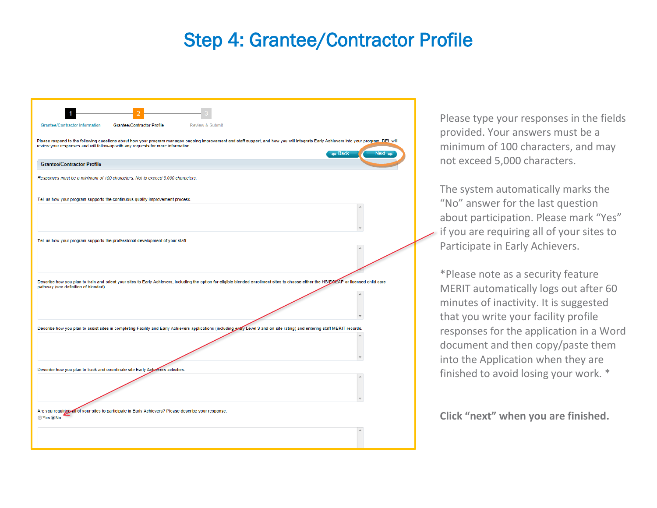### Step 4: Grantee/Contractor Profile



Please type your responses in the fields provided. Your answers must be a minimum of 100 characters, and may not exceed 5,000 characters.

The system automatically marks the "No" answer for the last question about participation. Please mark "Yes" if you are requiring all of your sites to Participate in Early Achievers.

\*Please note as a security feature MERIT automatically logs out after 60 minutes of inactivity. It is suggested that you write your facility profile responses for the application in a Word document and then copy/paste them into the Application when they are finished to avoid losing your work. \*

**Click "next" when you are finished.**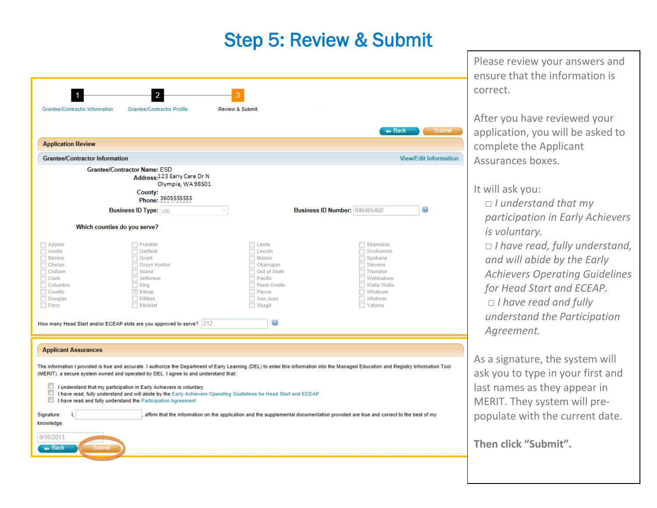#### Step 5: Review & Submit

| <b>Grantee/Contractor Information</b>                                                                                                                                                                                                                                                                                                                                                                                                                                                                                                                                                                                                                                                                                                                                      | <b>Grantee/Contractor Profile</b>                                                                                              | <b>Review &amp; Submit</b>                                                                                                          |                                      |                                                                                                                                          |                              |  |
|----------------------------------------------------------------------------------------------------------------------------------------------------------------------------------------------------------------------------------------------------------------------------------------------------------------------------------------------------------------------------------------------------------------------------------------------------------------------------------------------------------------------------------------------------------------------------------------------------------------------------------------------------------------------------------------------------------------------------------------------------------------------------|--------------------------------------------------------------------------------------------------------------------------------|-------------------------------------------------------------------------------------------------------------------------------------|--------------------------------------|------------------------------------------------------------------------------------------------------------------------------------------|------------------------------|--|
| <b>Application Review</b>                                                                                                                                                                                                                                                                                                                                                                                                                                                                                                                                                                                                                                                                                                                                                  |                                                                                                                                |                                                                                                                                     |                                      | $\leftarrow$ Back                                                                                                                        | Submit                       |  |
| <b>Grantee/Contractor Information</b>                                                                                                                                                                                                                                                                                                                                                                                                                                                                                                                                                                                                                                                                                                                                      |                                                                                                                                |                                                                                                                                     |                                      |                                                                                                                                          | <b>View/Edit Information</b> |  |
| <b>Grantee/Contractor Name: ESD</b>                                                                                                                                                                                                                                                                                                                                                                                                                                                                                                                                                                                                                                                                                                                                        | Address: 123 Early Care Dr N<br>Olympia, WA98501<br>County:<br>Phone: 3605555555<br><b>Business ID Type: UBI</b>               |                                                                                                                                     | <b>Business ID Number: 846465460</b> |                                                                                                                                          | $_{\odot}$                   |  |
| Which counties do you serve?                                                                                                                                                                                                                                                                                                                                                                                                                                                                                                                                                                                                                                                                                                                                               |                                                                                                                                |                                                                                                                                     |                                      |                                                                                                                                          |                              |  |
| $\Box$ Adams<br>Asotin<br>$\Box$<br>Benton<br>Chelan<br>п<br>Clallam<br>п<br>Clark<br>Columbia<br>Cowlitz<br>Douglas<br>$F$ Ferry<br>How many Head Start and/or ECEAP slots are you approved to serve? 212                                                                                                                                                                                                                                                                                                                                                                                                                                                                                                                                                                 | $\Box$ Franklin<br>Garfield<br>Grant<br>Grays Harbor<br>sland<br>Jefferson<br>$\Box$ King<br>√ Kitsap<br>Kittitas<br>Klickitat | Lewis<br>Lincoln<br>Mason<br>Okanogan<br><b>Out of State</b><br>Pacific<br><b>Pend Oreille</b><br>Pierce<br>San Juan<br>Skagit<br>0 |                                      | $\Box$ Skamania<br>Snohomish<br>Spokane<br>$\Box$ Stevens<br>$\Box$ Thurston<br>Wahkiakum<br>Walla Walla<br>Whatcom<br>Whitman<br>Yakima |                              |  |
| <b>Applicant Assurances</b>                                                                                                                                                                                                                                                                                                                                                                                                                                                                                                                                                                                                                                                                                                                                                |                                                                                                                                |                                                                                                                                     |                                      |                                                                                                                                          |                              |  |
| The information I provided is true and accurate. I authorize the Department of Early Learning (DEL) to enter this information into the Managed Education and Registry Information Tool<br>(MERIT), a secure system owned and operated by DEL. I agree to and understand that:<br>$\overline{\phantom{a}}$<br>I understand that my participation in Early Achievers is voluntary<br>I have read, fully understand and will abide by the Early Achievers Operating Guidelines for Head Start and ECEAP<br>I have read and fully understand the Participation Agreement<br>Signature:<br>affirm that the information on the application and the supplemental documentation provided are true and correct to the best of my<br>L<br>knowledge.<br>9/16/2013<br>— Back<br>Submi |                                                                                                                                |                                                                                                                                     |                                      |                                                                                                                                          |                              |  |

Please review your answers and ensure that the information is correct.

After you have reviewed your application, you will be asked to  $\sum_{i=1}^{n} a_i$ complete the Applicant Assurances boxes.

It will ask you:

□ *I understand that my* children under the *participation in Early Achievers is voluntary.* □ I have read, fully understand, and will abide by the Early should align with *Achievers Operating Guidelines Uperucing* ou for Head Start and ECEAP. □ I have read and fully sizes. *understand the Participation Agreement.*

As a signature, the system will ask you to type in your first and last names as they appear in MERIT. They system will prepopulate with the current date.

**Then click "Submit".**